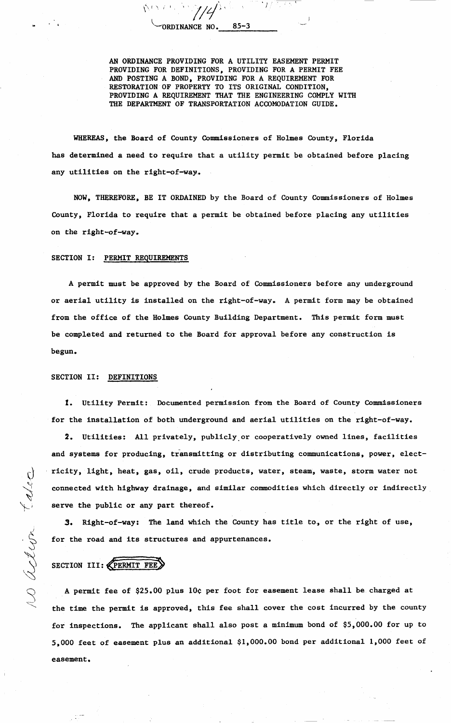ORDINANCE NO.  $85 - 3$ 

AN ORDINANCE PROVIDING FOR A UTILITY EASEMENT PERMIT PROVIDING FOR DEFINITIONS, PROVIDING FOR A PERMIT FEE AND POSTING A BOND, PROVIDING FOR A REQUIREMENT FOR RESTORATION OF PROPERTY TO ITS ORIGINAL CONDITION, PROVIDING A REQUIREMENT THAT THE ENGINEERING COMPLY WITH THE DEPARTMENT OF TRANSPORTATION ACCOMODATION GUIDE.

WHEREAS, the Board of County Commissioners of Holmes County, Florida has determined a need to require that a utility permit be obtained before placing any utilities on the right-of-way.

NOW, THEREFORE, BE IT ORDAINED by the Board of County Commissioners of Holmes County, Florida to require that a permit be obtained before placing any utilities on the right-of-way.

## SECTION I: PERMIT REQUIREMENTS

A permit must be approved by the Board of Commissioners before any underground or aerial utility is installed on the right-of-way. A permit form may be obtained from the office of the Holmes County Building Department. This permit form must be completed and returned to the Board for approval before any construction is begun.

## SECTION II: **DEFINITIONS**

**l.** Utility Permit: Documented permission from the Board of County Commtssioners for the installation of both underground and aerial utilities on the right-of-way.

**2.** Utilities: All privately, publicly\_or cooperatively owned lines, facilities and systems for producing, transmitting or distributing communications, power, electricity, light, heat, gas, oil, crude products, water, steam, waste, storm water not connected with highway drainage, and similar commodities which directly or indirectly serve the public or any part thereof.

**3.** Right-of-way: The land which the County has title to, or the right of use, for the road and its structures and appurtenances.

SECTION III: **KPERMIT FEE** 

 $\omega$  action take

A permit fee of \$25.00 plus 10¢ per foot for easement lease shall be charged at the time the permit is approved, this fee shall cover the cost incurred by the county for inspections. The applicant shall also post a minimum bond of \$5,000.00 for up to 5,000 feet of easement plus an additional \$1,000.00 bond per additional 1,000 feet of easement.